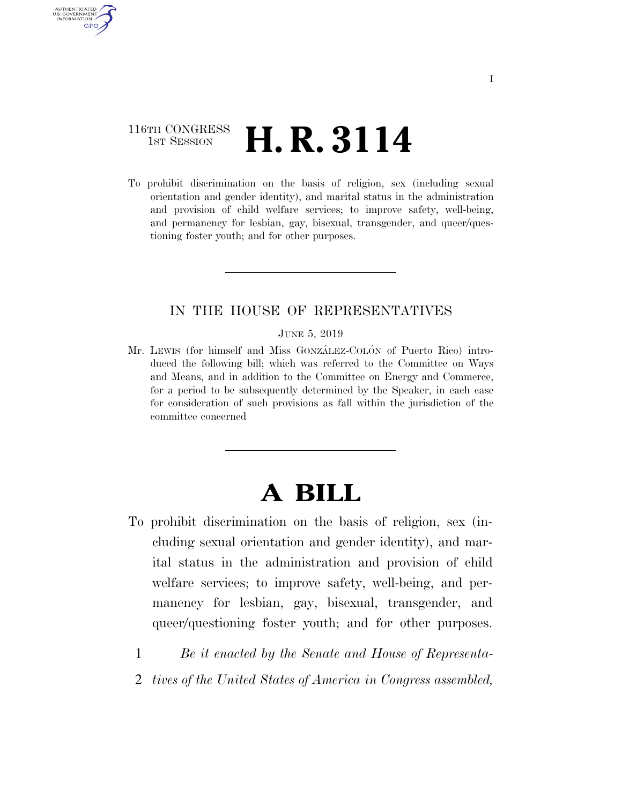## 116TH CONGRESS <sup>TH CONGRESS</sup>  $H.R. 3114$

AUTHENTICATED U.S. GOVERNMENT GPO

> To prohibit discrimination on the basis of religion, sex (including sexual orientation and gender identity), and marital status in the administration and provision of child welfare services; to improve safety, well-being, and permanency for lesbian, gay, bisexual, transgender, and queer/questioning foster youth; and for other purposes.

### IN THE HOUSE OF REPRESENTATIVES

#### JUNE 5, 2019

Mr. LEWIS (for himself and Miss GONZÁLEZ-COLÓN of Puerto Rico) introduced the following bill; which was referred to the Committee on Ways and Means, and in addition to the Committee on Energy and Commerce, for a period to be subsequently determined by the Speaker, in each case for consideration of such provisions as fall within the jurisdiction of the committee concerned

# **A BILL**

- To prohibit discrimination on the basis of religion, sex (including sexual orientation and gender identity), and marital status in the administration and provision of child welfare services; to improve safety, well-being, and permanency for lesbian, gay, bisexual, transgender, and queer/questioning foster youth; and for other purposes.
	- 1 *Be it enacted by the Senate and House of Representa-*
	- 2 *tives of the United States of America in Congress assembled,*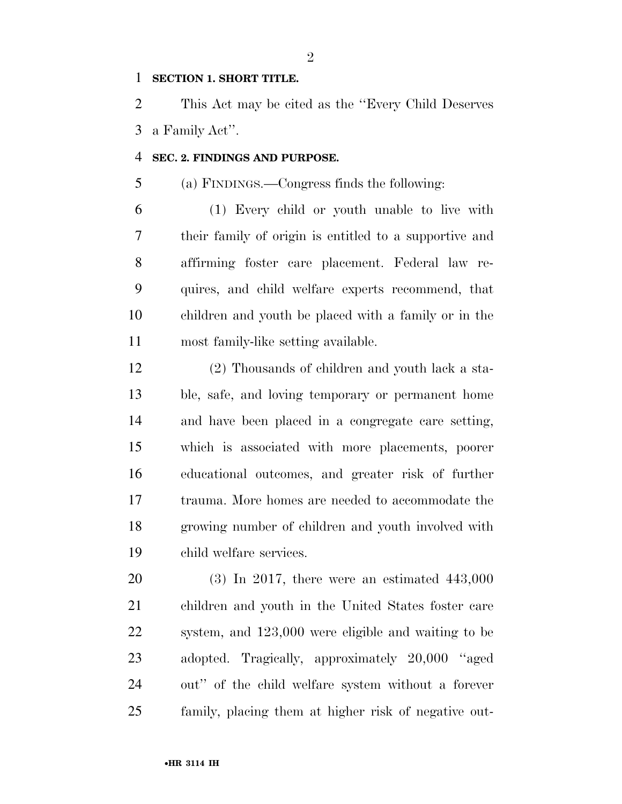### **SECTION 1. SHORT TITLE.**

 This Act may be cited as the ''Every Child Deserves a Family Act''.

### **SEC. 2. FINDINGS AND PURPOSE.**

(a) FINDINGS.—Congress finds the following:

 (1) Every child or youth unable to live with their family of origin is entitled to a supportive and affirming foster care placement. Federal law re- quires, and child welfare experts recommend, that children and youth be placed with a family or in the most family-like setting available.

 (2) Thousands of children and youth lack a sta- ble, safe, and loving temporary or permanent home and have been placed in a congregate care setting, which is associated with more placements, poorer educational outcomes, and greater risk of further trauma. More homes are needed to accommodate the growing number of children and youth involved with child welfare services.

 (3) In 2017, there were an estimated 443,000 children and youth in the United States foster care system, and 123,000 were eligible and waiting to be adopted. Tragically, approximately 20,000 ''aged out'' of the child welfare system without a forever family, placing them at higher risk of negative out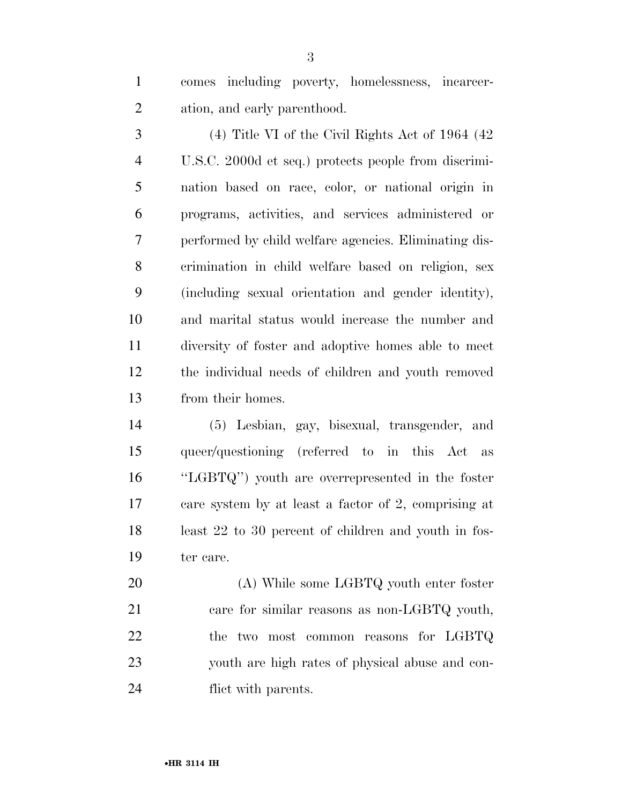comes including poverty, homelessness, incarcer-ation, and early parenthood.

 (4) Title VI of the Civil Rights Act of 1964 (42 U.S.C. 2000d et seq.) protects people from discrimi- nation based on race, color, or national origin in programs, activities, and services administered or performed by child welfare agencies. Eliminating dis- crimination in child welfare based on religion, sex (including sexual orientation and gender identity), and marital status would increase the number and diversity of foster and adoptive homes able to meet the individual needs of children and youth removed from their homes.

 (5) Lesbian, gay, bisexual, transgender, and queer/questioning (referred to in this Act as ''LGBTQ'') youth are overrepresented in the foster care system by at least a factor of 2, comprising at least 22 to 30 percent of children and youth in fos-ter care.

 (A) While some LGBTQ youth enter foster 21 care for similar reasons as non-LGBTQ youth, the two most common reasons for LGBTQ youth are high rates of physical abuse and con-flict with parents.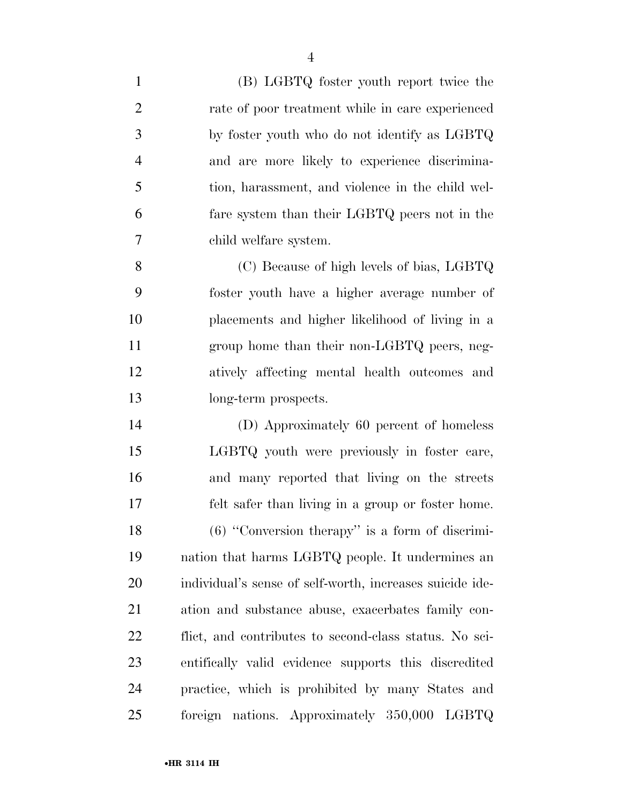| $\mathbf{1}$   | (B) LGBTQ foster youth report twice the                  |
|----------------|----------------------------------------------------------|
| $\overline{2}$ | rate of poor treatment while in care experienced         |
| 3              | by foster youth who do not identify as LGBTQ             |
| $\overline{4}$ | and are more likely to experience discrimina-            |
| 5              | tion, harassment, and violence in the child wel-         |
| 6              | fare system than their LGBTQ peers not in the            |
| 7              | child welfare system.                                    |
| 8              | (C) Because of high levels of bias, LGBTQ                |
| 9              | foster youth have a higher average number of             |
| 10             | placements and higher likelihood of living in a          |
| 11             | group home than their non-LGBTQ peers, neg-              |
| 12             | atively affecting mental health outcomes and             |
| 13             | long-term prospects.                                     |
| 14             | (D) Approximately 60 percent of homeless                 |
| 15             | LGBTQ youth were previously in foster care,              |
| 16             | and many reported that living on the streets             |
| 17             | felt safer than living in a group or foster home.        |
| 18             | $(6)$ "Conversion therapy" is a form of discrimi-        |
| 19             | nation that harms LGBTQ people. It undermines an         |
| 20             | individual's sense of self-worth, increases suicide ide- |
| 21             | ation and substance abuse, exacerbates family con-       |
| 22             | flict, and contributes to second-class status. No sci-   |
| 23             | entifically valid evidence supports this discredited     |
| 24             | practice, which is prohibited by many States and         |
| 25             | foreign nations. Approximately 350,000 LGBTQ             |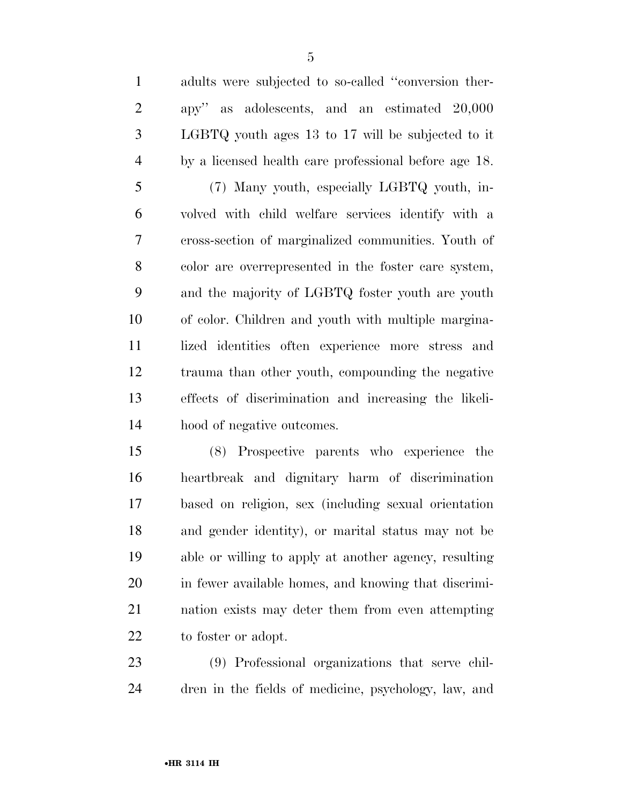adults were subjected to so-called ''conversion ther- apy'' as adolescents, and an estimated 20,000 LGBTQ youth ages 13 to 17 will be subjected to it by a licensed health care professional before age 18. (7) Many youth, especially LGBTQ youth, in-

 volved with child welfare services identify with a cross-section of marginalized communities. Youth of color are overrepresented in the foster care system, and the majority of LGBTQ foster youth are youth of color. Children and youth with multiple margina- lized identities often experience more stress and trauma than other youth, compounding the negative effects of discrimination and increasing the likeli-hood of negative outcomes.

 (8) Prospective parents who experience the heartbreak and dignitary harm of discrimination based on religion, sex (including sexual orientation and gender identity), or marital status may not be able or willing to apply at another agency, resulting in fewer available homes, and knowing that discrimi- nation exists may deter them from even attempting to foster or adopt.

 (9) Professional organizations that serve chil-dren in the fields of medicine, psychology, law, and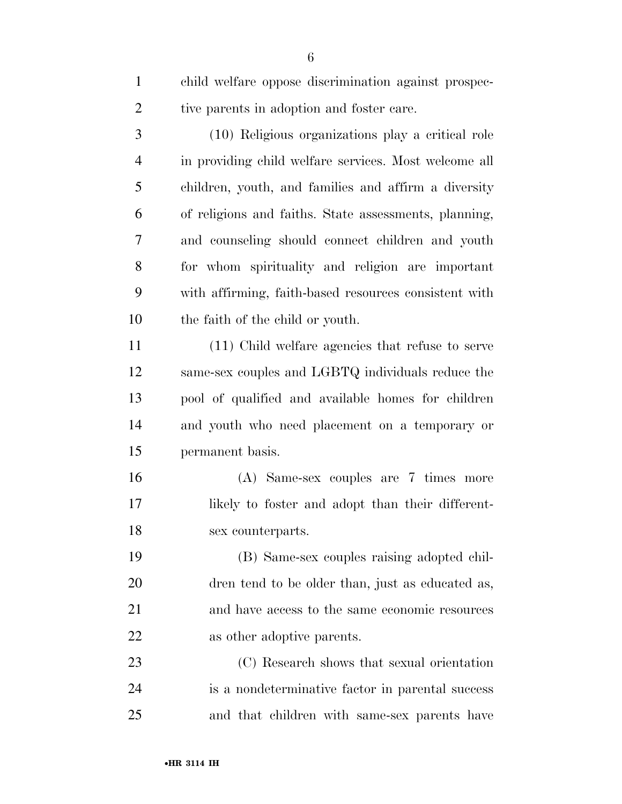| $\mathbf{1}$   | child welfare oppose discrimination against prospec-  |
|----------------|-------------------------------------------------------|
| $\overline{2}$ | tive parents in adoption and foster care.             |
| 3              | (10) Religious organizations play a critical role     |
| $\overline{4}$ | in providing child welfare services. Most welcome all |
| 5              | children, youth, and families and affirm a diversity  |
| 6              | of religions and faiths. State assessments, planning, |
| 7              | and counseling should connect children and youth      |
| 8              | for whom spirituality and religion are important      |
| 9              | with affirming, faith-based resources consistent with |
| 10             | the faith of the child or youth.                      |
| 11             | (11) Child welfare agencies that refuse to serve      |
| 12             | same-sex couples and LGBTQ individuals reduce the     |
| 13             | pool of qualified and available homes for children    |
| 14             | and youth who need placement on a temporary or        |
| 15             | permanent basis.                                      |
| 16             | (A) Same-sex couples are 7 times more                 |
| 17             | likely to foster and adopt than their different-      |
| 18             | sex counterparts.                                     |
| 19             | (B) Same-sex couples raising adopted chil-            |
| 20             | dren tend to be older than, just as educated as,      |
| 21             | and have access to the same economic resources        |
| 22             | as other adoptive parents.                            |
| 23             | (C) Research shows that sexual orientation            |
| 24             | is a nondeterminative factor in parental success      |
| 25             | and that children with same-sex parents have          |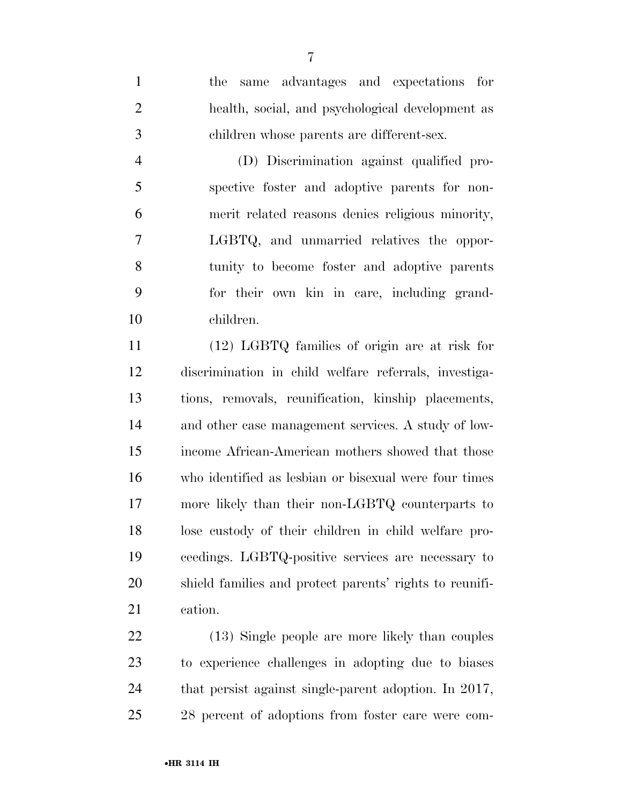the same advantages and expectations for health, social, and psychological development as children whose parents are different-sex.

 (D) Discrimination against qualified pro- spective foster and adoptive parents for non- merit related reasons denies religious minority, LGBTQ, and unmarried relatives the oppor- tunity to become foster and adoptive parents for their own kin in care, including grand-children.

 (12) LGBTQ families of origin are at risk for discrimination in child welfare referrals, investiga- tions, removals, reunification, kinship placements, and other case management services. A study of low- income African-American mothers showed that those who identified as lesbian or bisexual were four times more likely than their non-LGBTQ counterparts to lose custody of their children in child welfare pro- ceedings. LGBTQ-positive services are necessary to shield families and protect parents' rights to reunifi-cation.

 (13) Single people are more likely than couples to experience challenges in adopting due to biases that persist against single-parent adoption. In 2017, 28 percent of adoptions from foster care were com-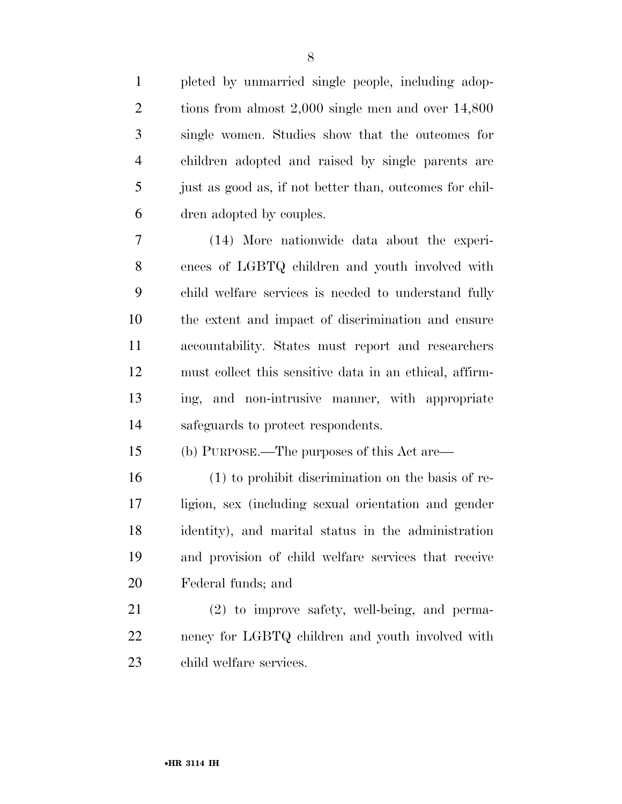pleted by unmarried single people, including adop- tions from almost 2,000 single men and over 14,800 single women. Studies show that the outcomes for children adopted and raised by single parents are just as good as, if not better than, outcomes for chil-dren adopted by couples.

 (14) More nationwide data about the experi- ences of LGBTQ children and youth involved with child welfare services is needed to understand fully the extent and impact of discrimination and ensure accountability. States must report and researchers must collect this sensitive data in an ethical, affirm- ing, and non-intrusive manner, with appropriate safeguards to protect respondents.

(b) PURPOSE.—The purposes of this Act are—

 (1) to prohibit discrimination on the basis of re- ligion, sex (including sexual orientation and gender identity), and marital status in the administration and provision of child welfare services that receive Federal funds; and

 (2) to improve safety, well-being, and perma- nency for LGBTQ children and youth involved with child welfare services.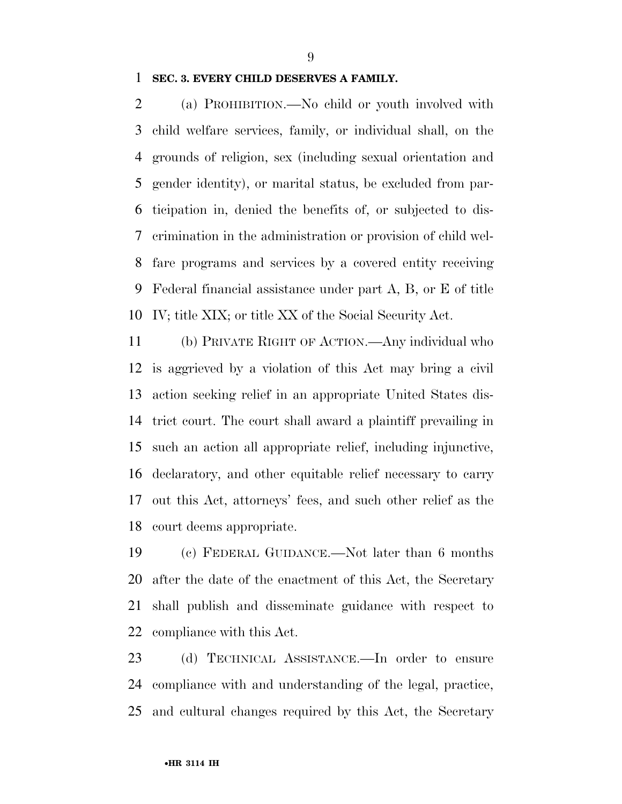### **SEC. 3. EVERY CHILD DESERVES A FAMILY.**

 (a) PROHIBITION.—No child or youth involved with child welfare services, family, or individual shall, on the grounds of religion, sex (including sexual orientation and gender identity), or marital status, be excluded from par- ticipation in, denied the benefits of, or subjected to dis- crimination in the administration or provision of child wel- fare programs and services by a covered entity receiving Federal financial assistance under part A, B, or E of title IV; title XIX; or title XX of the Social Security Act.

 (b) PRIVATE RIGHT OF ACTION.—Any individual who is aggrieved by a violation of this Act may bring a civil action seeking relief in an appropriate United States dis- trict court. The court shall award a plaintiff prevailing in such an action all appropriate relief, including injunctive, declaratory, and other equitable relief necessary to carry out this Act, attorneys' fees, and such other relief as the court deems appropriate.

 (c) FEDERAL GUIDANCE.—Not later than 6 months after the date of the enactment of this Act, the Secretary shall publish and disseminate guidance with respect to compliance with this Act.

 (d) TECHNICAL ASSISTANCE.—In order to ensure compliance with and understanding of the legal, practice, and cultural changes required by this Act, the Secretary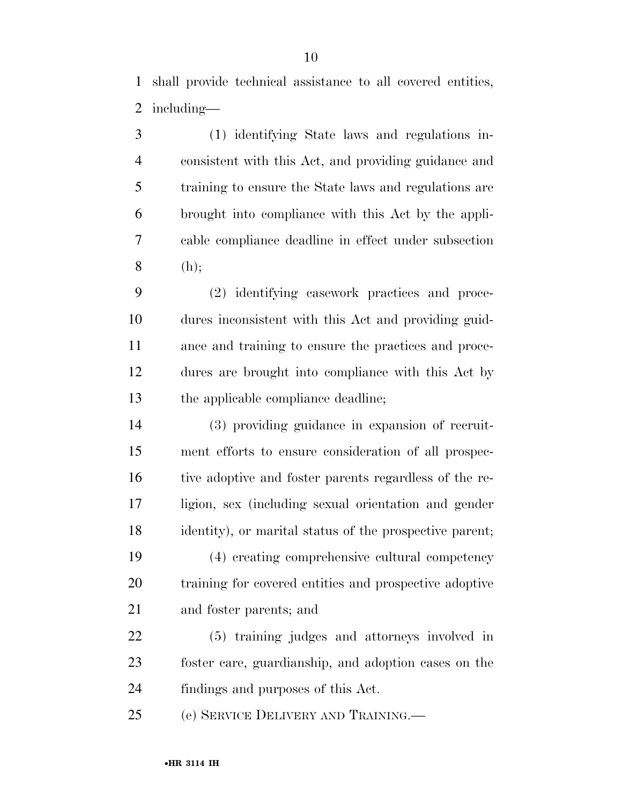shall provide technical assistance to all covered entities, including—

 (1) identifying State laws and regulations in- consistent with this Act, and providing guidance and training to ensure the State laws and regulations are brought into compliance with this Act by the appli- cable compliance deadline in effect under subsection (h);

 (2) identifying casework practices and proce- dures inconsistent with this Act and providing guid- ance and training to ensure the practices and proce- dures are brought into compliance with this Act by the applicable compliance deadline;

 (3) providing guidance in expansion of recruit- ment efforts to ensure consideration of all prospec-16 tive adoptive and foster parents regardless of the re- ligion, sex (including sexual orientation and gender identity), or marital status of the prospective parent;

 (4) creating comprehensive cultural competency training for covered entities and prospective adoptive and foster parents; and

 (5) training judges and attorneys involved in foster care, guardianship, and adoption cases on the findings and purposes of this Act.

(e) SERVICE DELIVERY AND TRAINING.—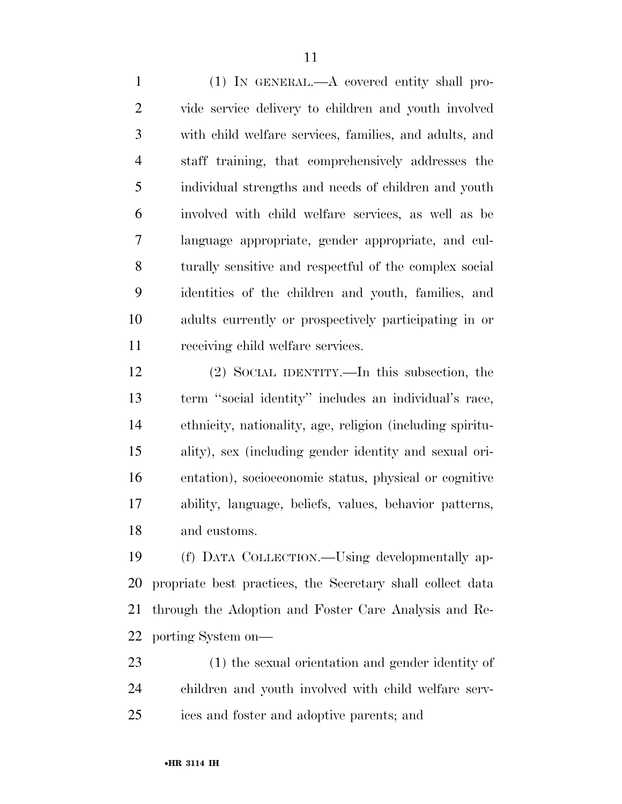(1) IN GENERAL.—A covered entity shall pro- vide service delivery to children and youth involved with child welfare services, families, and adults, and staff training, that comprehensively addresses the individual strengths and needs of children and youth involved with child welfare services, as well as be language appropriate, gender appropriate, and cul- turally sensitive and respectful of the complex social identities of the children and youth, families, and adults currently or prospectively participating in or receiving child welfare services.

 (2) SOCIAL IDENTITY.—In this subsection, the term ''social identity'' includes an individual's race, ethnicity, nationality, age, religion (including spiritu- ality), sex (including gender identity and sexual ori- entation), socioeconomic status, physical or cognitive ability, language, beliefs, values, behavior patterns, and customs.

 (f) DATA COLLECTION.—Using developmentally ap- propriate best practices, the Secretary shall collect data through the Adoption and Foster Care Analysis and Re-porting System on—

 (1) the sexual orientation and gender identity of children and youth involved with child welfare serv-ices and foster and adoptive parents; and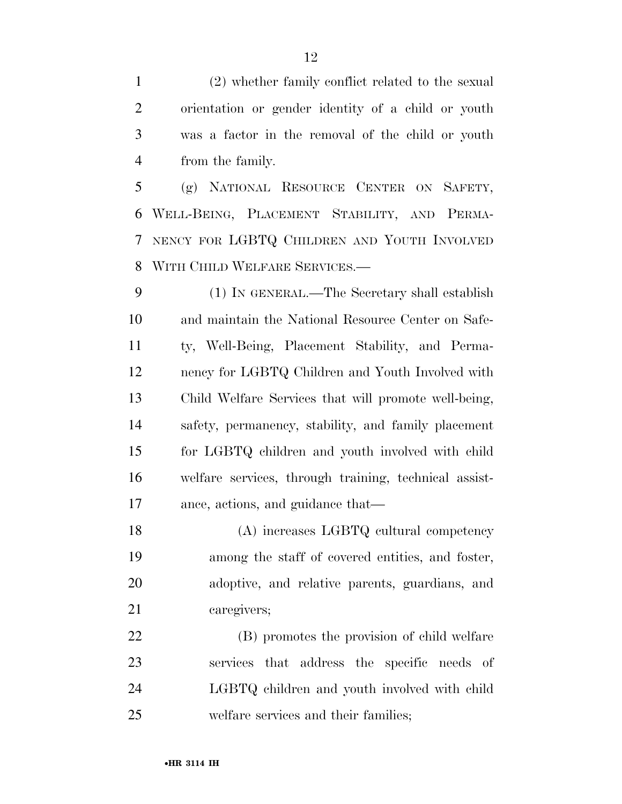(2) whether family conflict related to the sexual orientation or gender identity of a child or youth was a factor in the removal of the child or youth from the family.

 (g) NATIONAL RESOURCE CENTER ON SAFETY, WELL-BEING, PLACEMENT STABILITY, AND PERMA- NENCY FOR LGBTQ CHILDREN AND YOUTH INVOLVED WITH CHILD WELFARE SERVICES.—

 (1) IN GENERAL.—The Secretary shall establish and maintain the National Resource Center on Safe- ty, Well-Being, Placement Stability, and Perma- nency for LGBTQ Children and Youth Involved with Child Welfare Services that will promote well-being, safety, permanency, stability, and family placement for LGBTQ children and youth involved with child welfare services, through training, technical assist-ance, actions, and guidance that—

 (A) increases LGBTQ cultural competency among the staff of covered entities, and foster, adoptive, and relative parents, guardians, and caregivers;

 (B) promotes the provision of child welfare services that address the specific needs of LGBTQ children and youth involved with child welfare services and their families;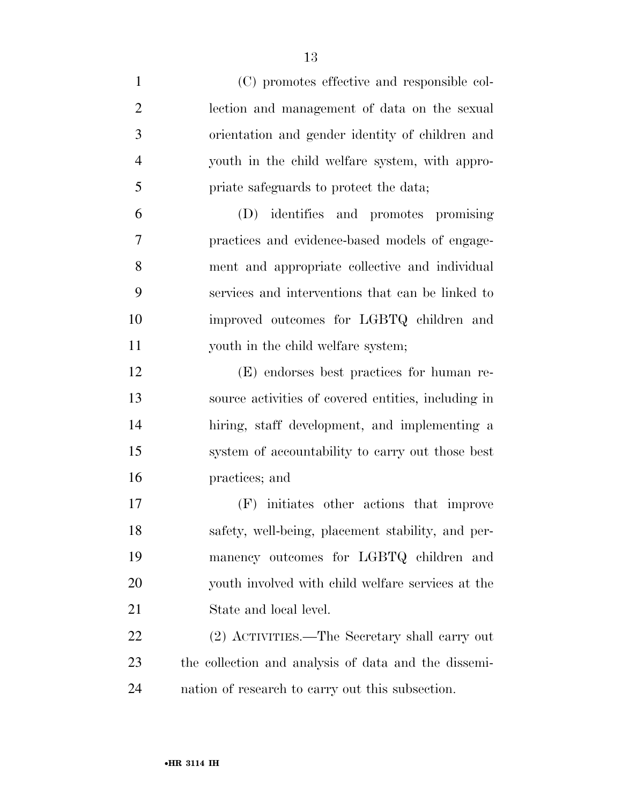| $\mathbf{1}$   | (C) promotes effective and responsible col-          |
|----------------|------------------------------------------------------|
| $\overline{2}$ | lection and management of data on the sexual         |
| 3              | orientation and gender identity of children and      |
| $\overline{4}$ | youth in the child welfare system, with appro-       |
| 5              | priate safeguards to protect the data;               |
| 6              | (D) identifies and promotes promising                |
| 7              | practices and evidence-based models of engage-       |
| 8              | ment and appropriate collective and individual       |
| 9              | services and interventions that can be linked to     |
| 10             | improved outcomes for LGBTQ children and             |
| 11             | youth in the child welfare system;                   |
| 12             | (E) endorses best practices for human re-            |
| 13             | source activities of covered entities, including in  |
| 14             | hiring, staff development, and implementing a        |
| 15             | system of accountability to carry out those best     |
| 16             | practices; and                                       |
| 17             | (F) initiates other actions that improve             |
| 18             | safety, well-being, placement stability, and per-    |
| 19             | manency outcomes for LGBTQ children and              |
| 20             | youth involved with child welfare services at the    |
| 21             | State and local level.                               |
| 22             | (2) ACTIVITIES.—The Secretary shall carry out        |
| 23             | the collection and analysis of data and the dissemi- |
| 24             | nation of research to carry out this subsection.     |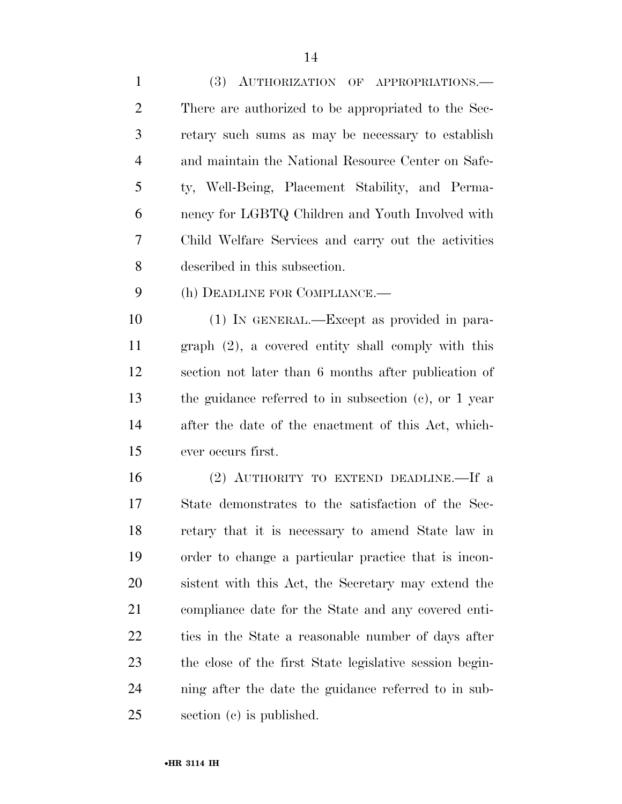| 1              | (3) AUTHORIZATION OF APPROPRIATIONS.-                     |
|----------------|-----------------------------------------------------------|
| 2              | There are authorized to be appropriated to the Sec-       |
| 3              | retary such sums as may be necessary to establish         |
| $\overline{4}$ | and maintain the National Resource Center on Safe-        |
| 5              | ty, Well-Being, Placement Stability, and Perma-           |
| 6              | nency for LGBTQ Children and Youth Involved with          |
| 7              | Child Welfare Services and carry out the activities       |
| 8              | described in this subsection.                             |
| 9              | (h) DEADLINE FOR COMPLIANCE.—                             |
| 10             | $(1)$ IN GENERAL.—Except as provided in para-             |
| 11             | $\alpha$ or $(2)$ a covered entity shall comply with this |

 graph (2), a covered entity shall comply with this section not later than 6 months after publication of the guidance referred to in subsection (c), or 1 year after the date of the enactment of this Act, which-ever occurs first.

 (2) AUTHORITY TO EXTEND DEADLINE.—If a State demonstrates to the satisfaction of the Sec- retary that it is necessary to amend State law in order to change a particular practice that is incon- sistent with this Act, the Secretary may extend the compliance date for the State and any covered enti- ties in the State a reasonable number of days after the close of the first State legislative session begin- ning after the date the guidance referred to in sub-section (c) is published.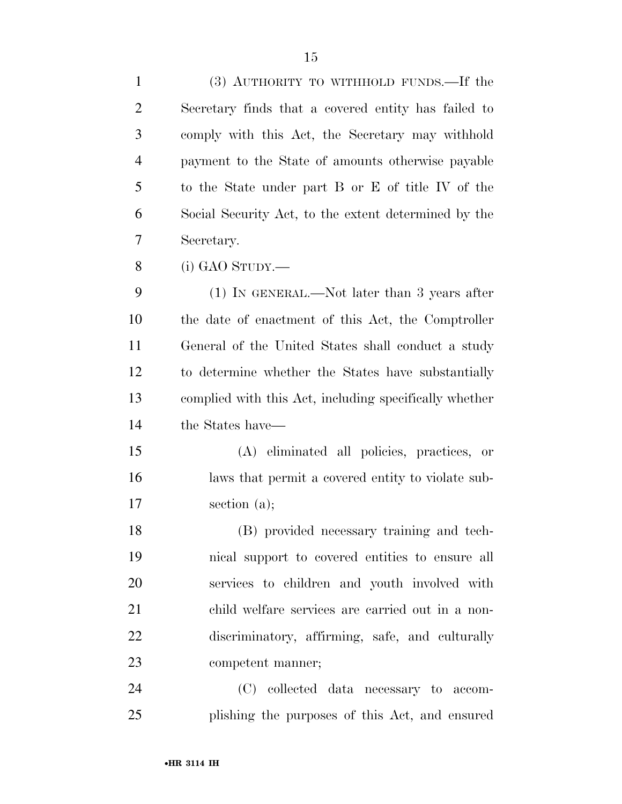| $\mathbf{1}$   | (3) AUTHORITY TO WITHHOLD FUNDS.—If the                |
|----------------|--------------------------------------------------------|
| $\overline{2}$ | Secretary finds that a covered entity has failed to    |
| 3              | comply with this Act, the Secretary may withhold       |
| $\overline{4}$ | payment to the State of amounts otherwise payable      |
| 5              | to the State under part B or E of title IV of the      |
| 6              | Social Security Act, to the extent determined by the   |
| 7              | Secretary.                                             |
| 8              | $(i)$ GAO STUDY.—                                      |
| 9              | $(1)$ IN GENERAL.—Not later than 3 years after         |
| 10             | the date of enactment of this Act, the Comptroller     |
| 11             | General of the United States shall conduct a study     |
| 12             | to determine whether the States have substantially     |
| 13             | complied with this Act, including specifically whether |
| 14             | the States have—                                       |
| 15             | (A) eliminated all policies, practices, or             |
| 16             | laws that permit a covered entity to violate sub-      |
| 17             | section $(a)$ ;                                        |
| 18             | (B) provided necessary training and tech-              |
| 19             | nical support to covered entities to ensure all        |
| 20             | services to children and youth involved with           |
| 21             | child welfare services are carried out in a non-       |
| 22             | discriminatory, affirming, safe, and culturally        |
| 23             | competent manner;                                      |
| 24             | (C) collected data necessary to accom-                 |
| 25             | plishing the purposes of this Act, and ensured         |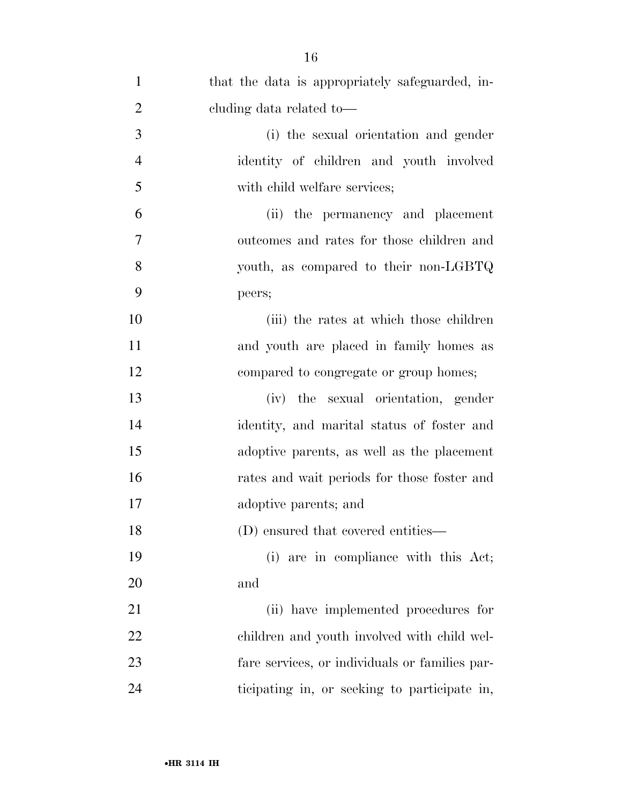| $\mathbf{1}$   | that the data is appropriately safeguarded, in- |
|----------------|-------------------------------------------------|
| $\overline{2}$ | eluding data related to-                        |
| 3              | (i) the sexual orientation and gender           |
| $\overline{4}$ | identity of children and youth involved         |
| 5              | with child welfare services;                    |
| 6              | (ii) the permanency and placement               |
| 7              | outcomes and rates for those children and       |
| 8              | youth, as compared to their non-LGBTQ           |
| 9              | peers;                                          |
| 10             | (iii) the rates at which those children         |
| 11             | and youth are placed in family homes as         |
| 12             | compared to congregate or group homes;          |
| 13             | (iv) the sexual orientation, gender             |
| 14             | identity, and marital status of foster and      |
| 15             | adoptive parents, as well as the placement      |
| 16             | rates and wait periods for those foster and     |
| 17             | adoptive parents; and                           |
| 18             | (D) ensured that covered entities—              |
| 19             | (i) are in compliance with this Act;            |
| 20             | and                                             |
| 21             | (ii) have implemented procedures for            |
| 22             | children and youth involved with child wel-     |
| 23             | fare services, or individuals or families par-  |
| 24             | ticipating in, or seeking to participate in,    |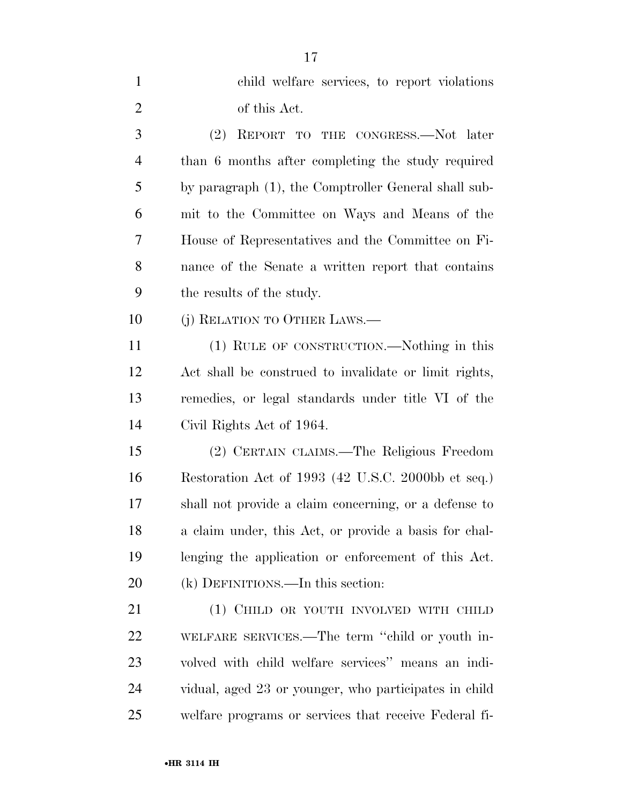| $\mathbf{1}$   | child welfare services, to report violations          |
|----------------|-------------------------------------------------------|
| $\overline{2}$ | of this Act.                                          |
| 3              | (2)<br>REPORT TO THE CONGRESS.—Not later              |
| 4              | than 6 months after completing the study required     |
| 5              | by paragraph (1), the Comptroller General shall sub-  |
| 6              | mit to the Committee on Ways and Means of the         |
| 7              | House of Representatives and the Committee on Fi-     |
| 8              | nance of the Senate a written report that contains    |
| 9              | the results of the study.                             |
| 10             | (j) RELATION TO OTHER LAWS.—                          |
| 11             | (1) RULE OF CONSTRUCTION.—Nothing in this             |
| 12             | Act shall be construed to invalidate or limit rights, |
| 13             | remedies, or legal standards under title VI of the    |
| 14             | Civil Rights Act of 1964.                             |
| 15             | (2) CERTAIN CLAIMS.—The Religious Freedom             |
| 16             | Restoration Act of 1993 (42 U.S.C. 2000bb et seq.)    |
| 17             | shall not provide a claim concerning, or a defense to |
| 18             | a claim under, this Act, or provide a basis for chal- |
| 19             | lenging the application or enforcement of this Act.   |
| 20             | $(k)$ DEFINITIONS.—In this section:                   |
| 21             | (1) CHILD OR YOUTH INVOLVED WITH CHILD                |
| <u>22</u>      | WELFARE SERVICES.—The term "child or youth in-        |
| 23             | volved with child welfare services" means an indi-    |
| 24             | vidual, aged 23 or younger, who participates in child |
| 25             | welfare programs or services that receive Federal fi- |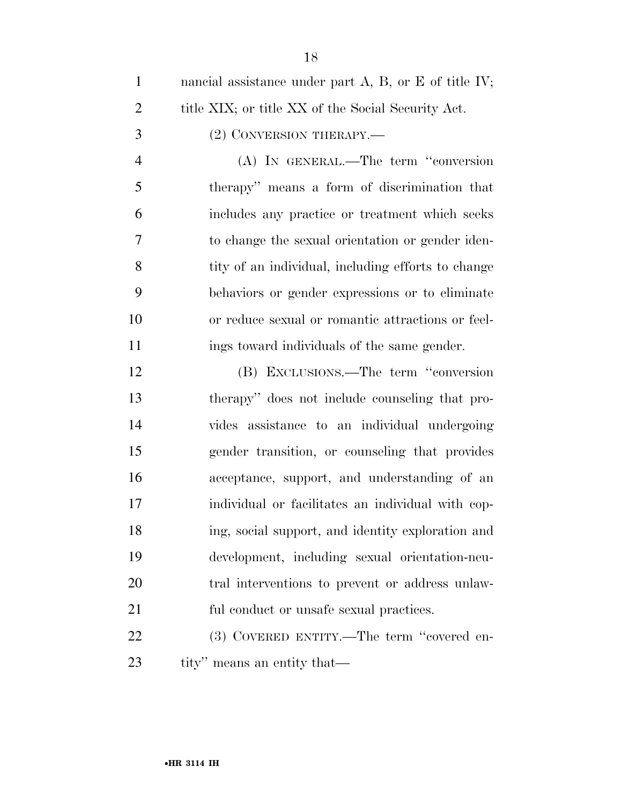| $\mathbf{1}$   | nancial assistance under part $A$ , $B$ , or $E$ of title IV; |
|----------------|---------------------------------------------------------------|
| $\overline{2}$ | title XIX; or title XX of the Social Security Act.            |
| 3              | (2) CONVERSION THERAPY.—                                      |
| $\overline{4}$ | (A) IN GENERAL.—The term "conversion                          |
| 5              | therapy" means a form of discrimination that                  |
| 6              | includes any practice or treatment which seeks                |
| 7              | to change the sexual orientation or gender iden-              |
| 8              | tity of an individual, including efforts to change            |
| 9              | behaviors or gender expressions or to eliminate               |
| 10             | or reduce sexual or romantic attractions or feel-             |
| 11             | ings toward individuals of the same gender.                   |
| 12             | (B) EXCLUSIONS.—The term "conversion                          |
| 13             | therapy" does not include counseling that pro-                |
| 14             | vides assistance to an individual undergoing                  |
| 15             | gender transition, or counseling that provides                |
| 16             | acceptance, support, and understanding of an                  |
| 17             | individual or facilitates an individual with cop-             |
| 18             | ing, social support, and identity exploration and             |
| 19             | development, including sexual orientation-neu-                |
| 20             | tral interventions to prevent or address unlaw-               |
| 21             | ful conduct or unsafe sexual practices.                       |
| 22             | (3) COVERED ENTITY.—The term "covered en-                     |
|                |                                                               |

tity'' means an entity that—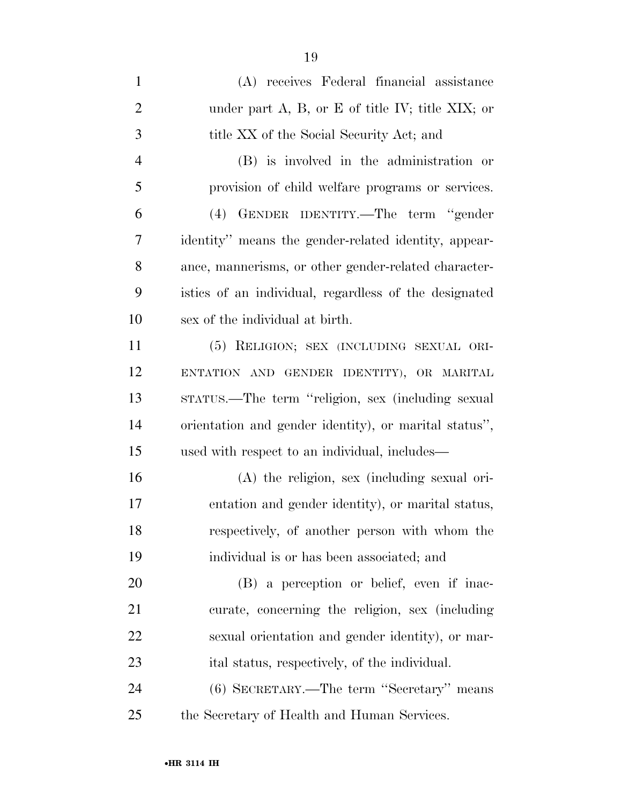| $\mathbf{1}$   | (A) receives Federal financial assistance                |
|----------------|----------------------------------------------------------|
| $\overline{2}$ | under part $A$ , $B$ , or $E$ of title IV; title XIX; or |
| 3              | title XX of the Social Security Act; and                 |
| $\overline{4}$ | (B) is involved in the administration or                 |
| 5              | provision of child welfare programs or services.         |
| 6              | GENDER IDENTITY.—The term "gender<br>(4)                 |
| 7              | identity" means the gender-related identity, appear-     |
| 8              | ance, mannerisms, or other gender-related character-     |
| 9              | istics of an individual, regardless of the designated    |
| 10             | sex of the individual at birth.                          |
| 11             | (5) RELIGION; SEX (INCLUDING SEXUAL ORI-                 |
| 12             | ENTATION AND GENDER IDENTITY), OR MARITAL                |
| 13             | stratus.—The term "religion, sex (including sexual       |
| 14             | orientation and gender identity), or marital status",    |
| 15             | used with respect to an individual, includes—            |
| 16             | $(A)$ the religion, sex (including sexual ori-           |
| 17             | entation and gender identity), or marital status,        |
| 18             | respectively, of another person with whom the            |
| 19             | individual is or has been associated; and                |
| 20             | (B) a perception or belief, even if inac-                |
| 21             | curate, concerning the religion, sex (including          |
| 22             | sexual orientation and gender identity), or mar-         |
| 23             | ital status, respectively, of the individual.            |
| 24             | (6) SECRETARY.—The term "Secretary" means                |
| 25             | the Secretary of Health and Human Services.              |